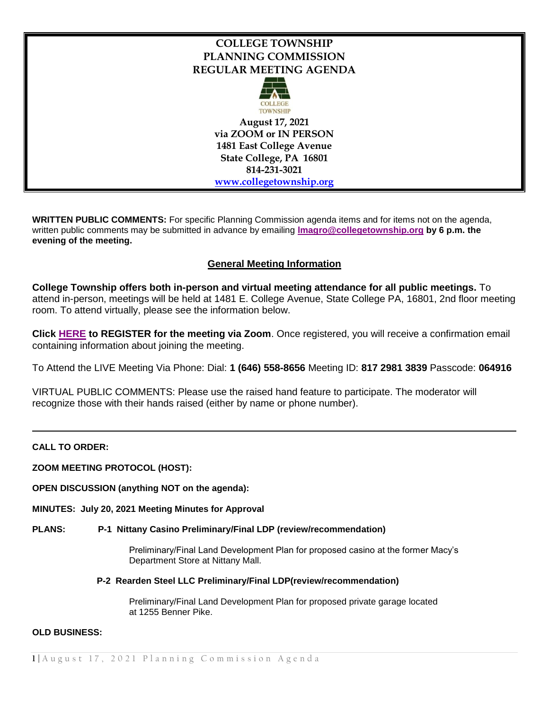# **COLLEGE TOWNSHIP PLANNING COMMISSION REGULAR MEETING AGENDA**



**August 17, 2021 via ZOOM or IN PERSON 1481 East College Avenue State College, PA 16801 814-231-3021 [www.collegetownship.org](http://www.collegetownship.org/)**

**WRITTEN PUBLIC COMMENTS:** For specific Planning Commission agenda items and for items not on the agenda, written public comments may be submitted in advance by emailing **[lmagro@collegetownship.org](mailto:lmagro@collegetownship.org) by 6 p.m. the evening of the meeting.** 

## **General Meeting Information**

**College Township offers both in-person and virtual meeting attendance for all public meetings.** To attend in-person, meetings will be held at 1481 E. College Avenue, State College PA, 16801, 2nd floor meeting room. To attend virtually, please see the information below.

**Click [HERE](https://us02web.zoom.us/meeting/register/tZUqdeCgrzgiGd0D-At7dmDdnDDmNpr_0Qsb) to REGISTER for the meeting via Zoom**. Once registered, you will receive a confirmation email containing information about joining the meeting.

To Attend the LIVE Meeting Via Phone: Dial: **1 (646) 558-8656** Meeting ID: **817 2981 3839** Passcode: **064916**

VIRTUAL PUBLIC COMMENTS: Please use the raised hand feature to participate. The moderator will recognize those with their hands raised (either by name or phone number).

### **CALL TO ORDER:**

**ZOOM MEETING PROTOCOL (HOST):** 

**OPEN DISCUSSION (anything NOT on the agenda):**

**MINUTES: July 20, 2021 Meeting Minutes for Approval**

#### **PLANS: P-1 Nittany Casino Preliminary/Final LDP (review/recommendation)**

Preliminary/Final Land Development Plan for proposed casino at the former Macy's Department Store at Nittany Mall.

#### **P-2 Rearden Steel LLC Preliminary/Final LDP(review/recommendation)**

Preliminary/Final Land Development Plan for proposed private garage located at 1255 Benner Pike.

#### **OLD BUSINESS:**